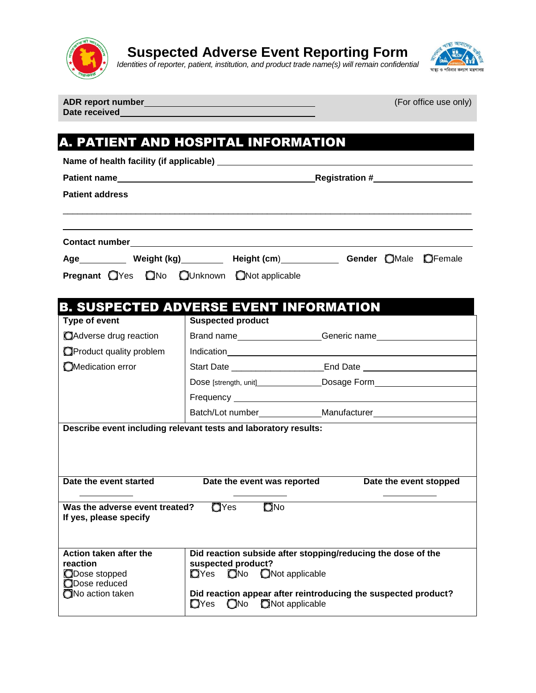

## **Suspected Adverse Event Reporting Form**

*Identities of reporter, patient, institution, and product trade name(s) will remain confidential* 



**Date received**

**ADR report number** (For office use only)

## A. PATIENT AND HOSPITAL INFORMATION **Name of health facility (if applicable) Patient name Registration # Registration # Registration # Registration # Patient address** \_\_\_\_\_\_\_\_\_\_\_\_\_\_\_\_\_\_\_\_\_\_\_\_\_\_\_\_\_\_\_\_\_\_\_\_\_\_\_\_\_\_\_\_\_\_\_\_\_\_\_\_\_\_\_\_\_\_\_\_\_\_\_\_\_\_\_\_\_\_\_\_\_\_\_\_\_\_\_\_\_\_\_\_

| <b>Contact number</b> |  |             |  |                                                   |  |  |                             |
|-----------------------|--|-------------|--|---------------------------------------------------|--|--|-----------------------------|
| Age                   |  | Weight (kg) |  | Height (cm)                                       |  |  | <b>Gender OMale OFemale</b> |
|                       |  |             |  | <b>Pregnant</b> OYes ONo OUnknown ONot applicable |  |  |                             |

## B. SUSPECTED ADVERSE EVENT INFORMATION

| Type of event                                                                   | <b>Suspected product</b>                               |                                                                                                                                                                                                                                      |  |  |
|---------------------------------------------------------------------------------|--------------------------------------------------------|--------------------------------------------------------------------------------------------------------------------------------------------------------------------------------------------------------------------------------------|--|--|
| Adverse drug reaction                                                           |                                                        | Brand name <b>EXALLE ACCORDING THE CONTRACT CONTRACT CONTRACT CONTRACT CONTRACT CONTRACT CONTRACT CONTRACT CONTRACT CONTRACT CONTRACT CONTRACT CONTRACT CONTRACT CONTRACT CONTRACT CONTRACT CONTRACT CONTRACT CONTRACT CONTRACT </b> |  |  |
| Product quality problem                                                         |                                                        |                                                                                                                                                                                                                                      |  |  |
| OMedication error                                                               |                                                        | Start Date ____________________________End Date ________________________________                                                                                                                                                     |  |  |
|                                                                                 |                                                        |                                                                                                                                                                                                                                      |  |  |
|                                                                                 |                                                        |                                                                                                                                                                                                                                      |  |  |
|                                                                                 |                                                        |                                                                                                                                                                                                                                      |  |  |
| Describe event including relevant tests and laboratory results:                 |                                                        |                                                                                                                                                                                                                                      |  |  |
| Date the event started<br>Date the event was reported<br>Date the event stopped |                                                        |                                                                                                                                                                                                                                      |  |  |
|                                                                                 |                                                        |                                                                                                                                                                                                                                      |  |  |
| Was the adverse event treated? $QY$ es $QN$ o<br>If yes, please specify         |                                                        |                                                                                                                                                                                                                                      |  |  |
| Action taken after the<br>reaction<br>ODose stopped<br>ODose reduced            | suspected product?<br><b>O</b> Yes ONo ONot applicable | Did reaction subside after stopping/reducing the dose of the                                                                                                                                                                         |  |  |